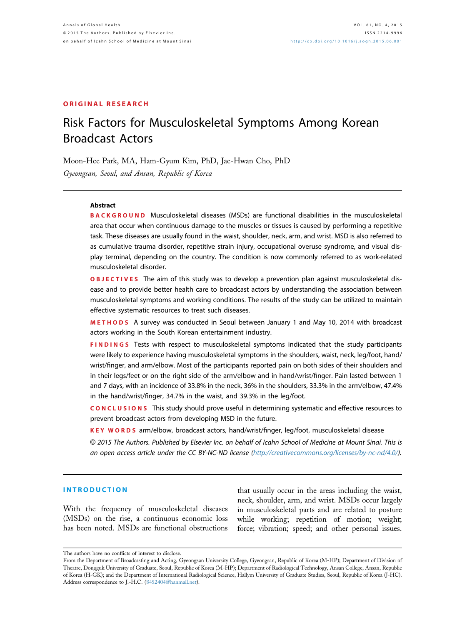#### ORIGINAL RESEARCH

# Risk Factors for Musculoskeletal Symptoms Among Korean Broadcast Actors

Moon-Hee Park, MA, Ham-Gyum Kim, PhD, Jae-Hwan Cho, PhD Gyeongsan, Seoul, and Ansan, Republic of Korea

#### Abstract

BACKGROUND Musculoskeletal diseases (MSDs) are functional disabilities in the musculoskeletal area that occur when continuous damage to the muscles or tissues is caused by performing a repetitive task. These diseases are usually found in the waist, shoulder, neck, arm, and wrist. MSD is also referred to as cumulative trauma disorder, repetitive strain injury, occupational overuse syndrome, and visual display terminal, depending on the country. The condition is now commonly referred to as work-related musculoskeletal disorder.

OBJECTIVES The aim of this study was to develop a prevention plan against musculoskeletal disease and to provide better health care to broadcast actors by understanding the association between musculoskeletal symptoms and working conditions. The results of the study can be utilized to maintain effective systematic resources to treat such diseases.

METHODS A survey was conducted in Seoul between January 1 and May 10, 2014 with broadcast actors working in the South Korean entertainment industry.

FINDINGS Tests with respect to musculoskeletal symptoms indicated that the study participants were likely to experience having musculoskeletal symptoms in the shoulders, waist, neck, leg/foot, hand/ wrist/finger, and arm/elbow. Most of the participants reported pain on both sides of their shoulders and in their legs/feet or on the right side of the arm/elbow and in hand/wrist/finger. Pain lasted between 1 and 7 days, with an incidence of 33.8% in the neck, 36% in the shoulders, 33.3% in the arm/elbow, 47.4% in the hand/wrist/finger, 34.7% in the waist, and 39.3% in the leg/foot.

CONCLUSIONS This study should prove useful in determining systematic and effective resources to prevent broadcast actors from developing MSD in the future.

KEY WORDS arm/elbow, broadcast actors, hand/wrist/finger, leg/foot, musculoskeletal disease

© 2015 The Authors. Published by Elsevier Inc. on behalf of Icahn School of Medicine at Mount Sinai. This is an open access article under the CC BY-NC-ND license [\(http://creativecommons.org/licenses/by-nc-nd/4.0/\)](http://creativecommons.org/licenses/by-nc-nd/4.�0/).

#### INTRODUCTION

With the frequency of musculoskeletal diseases (MSDs) on the rise, a continuous economic loss has been noted. MSDs are functional obstructions

that usually occur in the areas including the waist, neck, shoulder, arm, and wrist. MSDs occur largely in musculoskeletal parts and are related to posture while working; repetition of motion; weight; force; vibration; speed; and other personal issues.

The authors have no conflicts of interest to disclose.

From the Department of Broadcasting and Acting, Gyeongsan University College, Gyeongsan, Republic of Korea (M-HP); Department of Division of Theatre, Dongguk University of Graduate, Seoul, Republic of Korea (M-HP); Department of Radiological Technology, Ansan College, Ansan, Republic of Korea (H-GK); and the Department of International Radiological Science, Hallym University of Graduate Studies, Seoul, Republic of Korea (J-HC). Address correspondence to J.-H.C. [\(8452404@hanmail.net](mailto:8452404@hanmail.net)).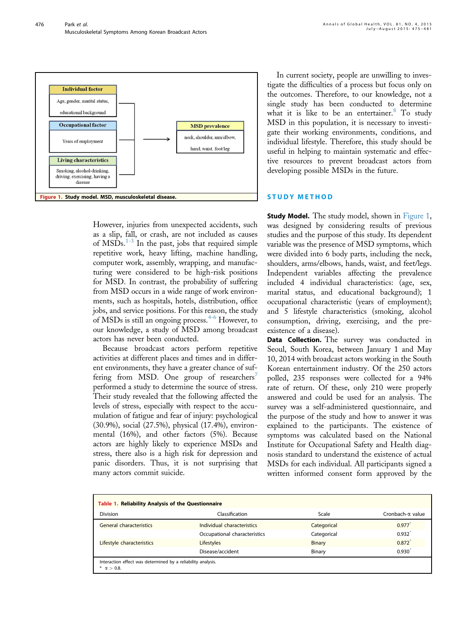<span id="page-1-0"></span>

However, injuries from unexpected accidents, such as a slip, fall, or crash, are not included as causes of  $\overline{\text{MSD}}\text{s}$ .<sup>[1-3](#page-6-0)</sup> In the past, jobs that required simple repetitive work, heavy lifting, machine handling, computer work, assembly, wrapping, and manufacturing were considered to be high-risk positions for MSD. In contrast, the probability of suffering from MSD occurs in a wide range of work environments, such as hospitals, hotels, distribution, office jobs, and service positions. For this reason, the study of MSDs is still an ongoing process.<sup>[4-6](#page-6-0)</sup> However, to our knowledge, a study of MSD among broadcast actors has never been conducted.

Because broadcast actors perform repetitive activities at different places and times and in different environments, they have a greater chance of suf-fering from MSD. One group of researchers<sup>[7](#page-6-0)</sup> performed a study to determine the source of stress. Their study revealed that the following affected the levels of stress, especially with respect to the accumulation of fatigue and fear of injury: psychological (30.9%), social (27.5%), physical (17.4%), environmental (16%), and other factors (5%). Because actors are highly likely to experience MSDs and stress, there also is a high risk for depression and panic disorders. Thus, it is not surprising that many actors commit suicide.

In current society, people are unwilling to investigate the difficulties of a process but focus only on the outcomes. Therefore, to our knowledge, not a single study has been conducted to determine what it is like to be an entertainer. $8$  To study MSD in this population, it is necessary to investigate their working environments, conditions, and individual lifestyle. Therefore, this study should be useful in helping to maintain systematic and effective resources to prevent broadcast actors from developing possible MSDs in the future.

#### STUDY METHOD

**Study Model.** The study model, shown in Figure 1, was designed by considering results of previous studies and the purpose of this study. Its dependent variable was the presence of MSD symptoms, which were divided into 6 body parts, including the neck, shoulders, arms/elbows, hands, waist, and feet/legs. Independent variables affecting the prevalence included 4 individual characteristics: (age, sex, marital status, and educational background); 1 occupational characteristic (years of employment); and 5 lifestyle characteristics (smoking, alcohol consumption, driving, exercising, and the preexistence of a disease).

Data Collection. The survey was conducted in Seoul, South Korea, between January 1 and May 10, 2014 with broadcast actors working in the South Korean entertainment industry. Of the 250 actors polled, 235 responses were collected for a 94% rate of return. Of these, only 210 were properly answered and could be used for an analysis. The survey was a self-administered questionnaire, and the purpose of the study and how to answer it was explained to the participants. The existence of symptoms was calculated based on the National Institute for Occupational Safety and Health diagnosis standard to understand the existence of actual MSDs for each individual. All participants signed a written informed consent form approved by the

| Table 1. Reliability Analysis of the Questionnaire                                 |                              |             |                  |  |  |  |  |  |
|------------------------------------------------------------------------------------|------------------------------|-------------|------------------|--|--|--|--|--|
| <b>Division</b>                                                                    | Classification               | Scale       | Cronbach-a value |  |  |  |  |  |
| General characteristics                                                            | Individual characteristics   | Categorical | 0.977            |  |  |  |  |  |
|                                                                                    | Occupational characteristics | Categorical | 0.932            |  |  |  |  |  |
| Lifestyle characteristics                                                          | <b>Lifestyles</b>            | Binary      | 0.872            |  |  |  |  |  |
|                                                                                    | Disease/accident             | Binary      | 0.930'           |  |  |  |  |  |
| Interaction effect was determined by a reliability analysis.<br>* $\alpha > 0.8$ . |                              |             |                  |  |  |  |  |  |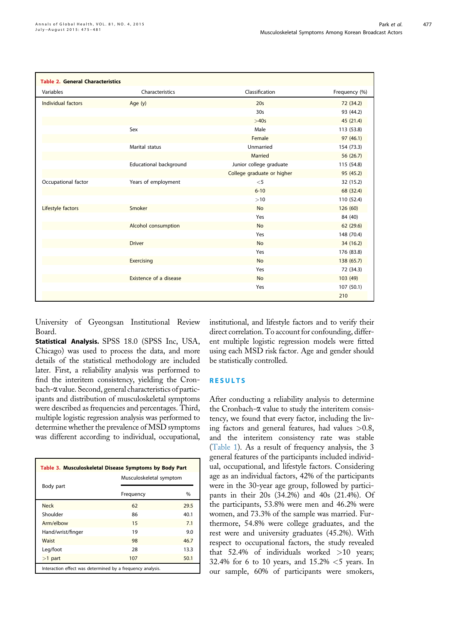477

<span id="page-2-0"></span>

| <b>Table 2. General Characteristics</b> |                        |                            |               |
|-----------------------------------------|------------------------|----------------------------|---------------|
| Variables                               | Characteristics        | Classification             | Frequency (%) |
| Individual factors                      | Age $(y)$              | 20 <sub>s</sub>            | 72 (34.2)     |
|                                         |                        | 30 <sub>s</sub>            | 93 (44.2)     |
|                                         |                        | >40s                       | 45 (21.4)     |
|                                         | Sex                    | Male                       | 113 (53.8)    |
|                                         |                        | Female                     | 97(46.1)      |
|                                         | Marital status         | Unmarried                  | 154 (73.3)    |
|                                         |                        | Married                    | 56 (26.7)     |
|                                         | Educational background | Junior college graduate    | 115 (54.8)    |
|                                         |                        | College graduate or higher | 95 (45.2)     |
| Occupational factor                     | Years of employment    | $<$ 5                      | 32 (15.2)     |
|                                         |                        | $6 - 10$                   | 68 (32.4)     |
|                                         |                        | >10                        | 110 (52.4)    |
| Lifestyle factors                       | Smoker                 | <b>No</b>                  | 126(60)       |
|                                         |                        | Yes                        | 84 (40)       |
|                                         | Alcohol consumption    | <b>No</b>                  | 62 (29.6)     |
|                                         |                        | Yes                        | 148 (70.4)    |
|                                         | <b>Driver</b>          | <b>No</b>                  | 34 (16.2)     |
|                                         |                        | Yes                        | 176 (83.8)    |
|                                         | Exercising             | <b>No</b>                  | 138 (65.7)    |
|                                         |                        | Yes                        | 72 (34.3)     |
|                                         | Existence of a disease | <b>No</b>                  | 103 (49)      |
|                                         |                        | Yes                        | 107 (50.1)    |
|                                         |                        |                            | 210           |

University of Gyeongsan Institutional Review Board.

Statistical Analysis. SPSS 18.0 (SPSS Inc, USA, Chicago) was used to process the data, and more details of the statistical methodology are included later. First, a reliability analysis was performed to find the interitem consistency, yielding the Cronbach-a value. Second, general characteristics of participants and distribution of musculoskeletal symptoms were described as frequencies and percentages. Third, multiple logistic regression analysis was performed to determine whether the prevalence of MSD symptoms was different according to individual, occupational,

| Table 3. Musculoskeletal Disease Symptoms by Body Part     |                         |      |  |  |  |  |
|------------------------------------------------------------|-------------------------|------|--|--|--|--|
|                                                            | Musculoskeletal symptom |      |  |  |  |  |
| Body part                                                  | Frequency               | $\%$ |  |  |  |  |
| <b>Neck</b>                                                | 62                      | 29.5 |  |  |  |  |
| Shoulder                                                   | 86                      | 40.1 |  |  |  |  |
| Arm/elbow                                                  | 15                      | 7.1  |  |  |  |  |
| Hand/wrist/finger                                          | 19                      | 9.0  |  |  |  |  |
| Waist                                                      | 98                      | 46.7 |  |  |  |  |
| Leg/foot                                                   | 28                      | 13.3 |  |  |  |  |
| $>1$ part                                                  | 107                     | 50.1 |  |  |  |  |
| Interaction effect was determined by a frequency analysis. |                         |      |  |  |  |  |

institutional, and lifestyle factors and to verify their direct correlation. To account for confounding, different multiple logistic regression models were fitted using each MSD risk factor. Age and gender should be statistically controlled.

#### RESULTS

After conducting a reliability analysis to determine the Cronbach- $\alpha$  value to study the interitem consistency, we found that every factor, including the living factors and general features, had values >0.8, and the interitem consistency rate was stable ([Table 1\)](#page-1-0). As a result of frequency analysis, the 3 general features of the participants included individual, occupational, and lifestyle factors. Considering age as an individual factors, 42% of the participants were in the 30-year age group, followed by participants in their 20s (34.2%) and 40s (21.4%). Of the participants, 53.8% were men and 46.2% were women, and 73.3% of the sample was married. Furthermore, 54.8% were college graduates, and the rest were and university graduates (45.2%). With respect to occupational factors, the study revealed that 52.4% of individuals worked >10 years; 32.4% for 6 to 10 years, and  $15.2\% < 5$  years. In our sample, 60% of participants were smokers,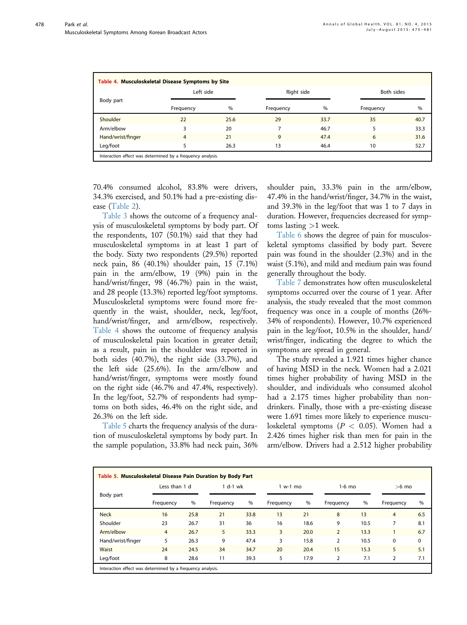478

| Table 4. Musculoskeletal Disease Symptoms by Site<br>Left side<br><b>Both sides</b><br>Right side |                                                            |      |           |      |           |      |  |  |  |  |
|---------------------------------------------------------------------------------------------------|------------------------------------------------------------|------|-----------|------|-----------|------|--|--|--|--|
| Body part                                                                                         |                                                            |      |           |      |           |      |  |  |  |  |
|                                                                                                   | Frequency                                                  | %    | Frequency | %    | Frequency | $\%$ |  |  |  |  |
| Shoulder                                                                                          | 22                                                         | 25.6 | 29        | 33.7 | 35        | 40.7 |  |  |  |  |
| Arm/elbow                                                                                         |                                                            | 20   |           | 46.7 |           | 33.3 |  |  |  |  |
| Hand/wrist/finger                                                                                 | $\overline{4}$                                             | 21   | 9         | 47.4 | 6         | 31.6 |  |  |  |  |
| Leg/foot                                                                                          |                                                            | 26.3 | 13        | 46.4 | 10        | 52.7 |  |  |  |  |
|                                                                                                   | Interaction effect was determined by a frequency analysis. |      |           |      |           |      |  |  |  |  |

70.4% consumed alcohol, 83.8% were drivers, 34.3% exercised, and 50.1% had a pre-existing disease [\(Table 2](#page-2-0)).

[Table 3](#page-2-0) shows the outcome of a frequency analysis of musculoskeletal symptoms by body part. Of the respondents, 107 (50.1%) said that they had musculoskeletal symptoms in at least 1 part of the body. Sixty two respondents (29.5%) reported neck pain, 86 (40.1%) shoulder pain, 15 (7.1%) pain in the arm/elbow, 19 (9%) pain in the hand/wrist/finger, 98 (46.7%) pain in the waist, and 28 people (13.3%) reported leg/foot symptoms. Musculoskeletal symptoms were found more frequently in the waist, shoulder, neck, leg/foot, hand/wrist/finger, and arm/elbow, respectively. Table 4 shows the outcome of frequency analysis of musculoskeletal pain location in greater detail; as a result, pain in the shoulder was reported in both sides (40.7%), the right side (33.7%), and the left side (25.6%). In the arm/elbow and hand/wrist/finger, symptoms were mostly found on the right side (46.7% and 47.4%, respectively). In the leg/foot, 52.7% of respondents had symptoms on both sides, 46.4% on the right side, and 26.3% on the left side.

Table 5 charts the frequency analysis of the duration of musculoskeletal symptoms by body part. In the sample population, 33.8% had neck pain, 36% shoulder pain, 33.3% pain in the arm/elbow, 47.4% in the hand/wrist/finger, 34.7% in the waist, and 39.3% in the leg/foot that was 1 to 7 days in duration. However, frequencies decreased for symptoms lasting >1 week.

[Table 6](#page-4-0) shows the degree of pain for musculoskeletal symptoms classified by body part. Severe pain was found in the shoulder (2.3%) and in the waist (5.1%), and mild and medium pain was found generally throughout the body.

[Table 7](#page-4-0) demonstrates how often musculoskeletal symptoms occurred over the course of 1 year. After analysis, the study revealed that the most common frequency was once in a couple of months (26%- 34% of respondents). However, 10.7% experienced pain in the leg/foot, 10.5% in the shoulder, hand/ wrist/finger, indicating the degree to which the symptoms are spread in general.

The study revealed a 1.921 times higher chance of having MSD in the neck. Women had a 2.021 times higher probability of having MSD in the shoulder, and individuals who consumed alcohol had a 2.175 times higher probability than nondrinkers. Finally, those with a pre-existing disease were 1.691 times more likely to experience musculoskeletal symptoms  $(P < 0.05)$ . Women had a 2.426 times higher risk than men for pain in the arm/elbow. Drivers had a 2.512 higher probability

| Table 5. Musculoskeletal Disease Pain Duration by Body Part |                |      |            |      |           |      |                |                     |                |     |
|-------------------------------------------------------------|----------------|------|------------|------|-----------|------|----------------|---------------------|----------------|-----|
|                                                             | Less than 1 d  |      | $1 d-1 wk$ |      | $1 w-1 m$ |      |                | $1-6$ mo<br>$>6$ mo |                |     |
| Body part                                                   | Frequency      | %    | Frequency  | $\%$ | Frequency | %    | Frequency      | %                   | Frequency      | %   |
| <b>Neck</b>                                                 | 16             | 25.8 | 21         | 33.8 | 13        | 21   | 8              | 13                  | $\overline{4}$ | 6.5 |
| Shoulder                                                    | 23             | 26.7 | 31         | 36   | 16        | 18.6 | 9              | 10.5                | 7              | 8.1 |
| Arm/elbow                                                   | $\overline{4}$ | 26.7 | 5          | 33.3 | 3         | 20.0 | $\overline{2}$ | 13.3                |                | 6.7 |
| Hand/wrist/finger                                           | 5              | 26.3 | 9          | 47.4 | 3         | 15.8 | 2              | 10.5                | 0              | 0   |
| <b>Waist</b>                                                | 24             | 24.5 | 34         | 34.7 | 20        | 20.4 | 15             | 15.3                | 5              | 5.1 |
| Leg/foot                                                    | 8              | 28.6 | 11         | 39.3 | 5         | 17.9 | $\overline{2}$ | 7.1                 | $\overline{2}$ | 7.1 |
| Interaction effect was determined by a frequency analysis.  |                |      |            |      |           |      |                |                     |                |     |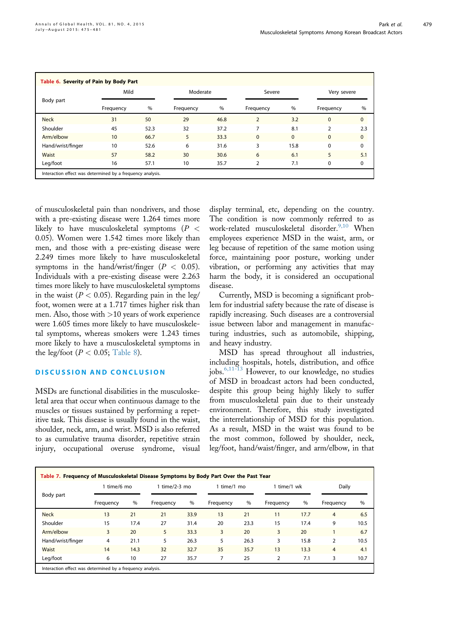479

<span id="page-4-0"></span>

|                   | Mild      |      | Moderate  |      |                | Severe<br>Very severe |               |             |
|-------------------|-----------|------|-----------|------|----------------|-----------------------|---------------|-------------|
| Body part         | Frequency | $\%$ | Frequency | %    | Frequency      | %                     | Frequency     | %           |
| <b>Neck</b>       | 31        | 50   | 29        | 46.8 | $\overline{2}$ | 3.2                   | $\Omega$      | $\mathbf 0$ |
| Shoulder          | 45        | 52.3 | 32        | 37.2 | 7              | 8.1                   | $\mathcal{P}$ | 2.3         |
| Arm/elbow         | 10        | 66.7 | 5         | 33.3 | $\Omega$       | $\mathbf{0}$          | $\Omega$      | $\mathbf 0$ |
| Hand/wrist/finger | 10        | 52.6 | 6         | 31.6 | 3              | 15.8                  | $\Omega$      | 0           |
| <b>Waist</b>      | 57        | 58.2 | 30        | 30.6 | 6              | 6.1                   | 5             | 5.1         |
| Leg/foot          | 16        | 57.1 | 10        | 35.7 | 2              | 7.1                   | $\Omega$      | 0           |

of musculoskeletal pain than nondrivers, and those with a pre-existing disease were 1.264 times more likely to have musculoskeletal symptoms ( $P <$ 0.05). Women were 1.542 times more likely than men, and those with a pre-existing disease were 2.249 times more likely to have musculoskeletal symptoms in the hand/wrist/finger  $(P < 0.05)$ . Individuals with a pre-existing disease were 2.263 times more likely to have musculoskeletal symptoms in the waist ( $P < 0.05$ ). Regarding pain in the leg/ foot, women were at a 1.717 times higher risk than men. Also, those with >10 years of work experience were 1.605 times more likely to have musculoskeletal symptoms, whereas smokers were 1.243 times more likely to have a musculoskeletal symptoms in the leg/foot ( $P < 0.05$ ; [Table 8](#page-5-0)).

## DISCUSSION AND CONCLUSION

MSDs are functional disabilities in the musculoskeletal area that occur when continuous damage to the muscles or tissues sustained by performing a repetitive task. This disease is usually found in the waist, shoulder, neck, arm, and wrist. MSD is also referred to as cumulative trauma disorder, repetitive strain injury, occupational overuse syndrome, visual

display terminal, etc, depending on the country. The condition is now commonly referred to as work-related musculoskeletal disorder.<sup>[9,10](#page-6-0)</sup> When employees experience MSD in the waist, arm, or leg because of repetition of the same motion using force, maintaining poor posture, working under vibration, or performing any activities that may harm the body, it is considered an occupational disease.

Currently, MSD is becoming a significant problem for industrial safety because the rate of disease is rapidly increasing. Such diseases are a controversial issue between labor and management in manufacturing industries, such as automobile, shipping, and heavy industry.

MSD has spread throughout all industries, including hospitals, hotels, distribution, and office jobs.<sup>[6,11-13](#page-6-0)</sup> However, to our knowledge, no studies of MSD in broadcast actors had been conducted, despite this group being highly likely to suffer from musculoskeletal pain due to their unsteady environment. Therefore, this study investigated the interrelationship of MSD for this population. As a result, MSD in the waist was found to be the most common, followed by shoulder, neck, leg/foot, hand/waist/finger, and arm/elbow, in that

| Table 7. Frequency of Musculoskeletal Disease Symptoms by Body Part Over the Past Year |                                                            |      |                 |      |             |      |                |       |                |      |
|----------------------------------------------------------------------------------------|------------------------------------------------------------|------|-----------------|------|-------------|------|----------------|-------|----------------|------|
|                                                                                        | 1 time/6 mo                                                |      | 1 time/2-3 $mo$ |      | 1 time/1 mo |      | 1 time/1 wk    | Daily |                |      |
| Body part                                                                              | Frequency                                                  | %    | Frequency       | $\%$ | Frequency   | $\%$ | Frequency      | $\%$  | Frequency      | %    |
| <b>Neck</b>                                                                            | 13                                                         | 21   | 21              | 33.9 | 13          | 21   | 11             | 17.7  | $\overline{4}$ | 6.5  |
| Shoulder                                                                               | 15                                                         | 17.4 | 27              | 31.4 | 20          | 23.3 | 15             | 17.4  | 9              | 10.5 |
| Arm/elbow                                                                              | 3                                                          | 20   | 5               | 33.3 | 3           | 20   | 3              | 20    |                | 6.7  |
| Hand/wrist/finger                                                                      | 4                                                          | 21.1 | 5               | 26.3 | 5           | 26.3 | 3              | 15.8  | 2              | 10.5 |
| <b>Waist</b>                                                                           | 14                                                         | 14.3 | 32              | 32.7 | 35          | 35.7 | 13             | 13.3  | $\overline{4}$ | 4.1  |
| Leg/foot                                                                               | 6                                                          | 10   | 27              | 35.7 | 7           | 25   | $\overline{2}$ | 7.1   | 3              | 10.7 |
|                                                                                        | Interaction effect was determined by a frequency analysis. |      |                 |      |             |      |                |       |                |      |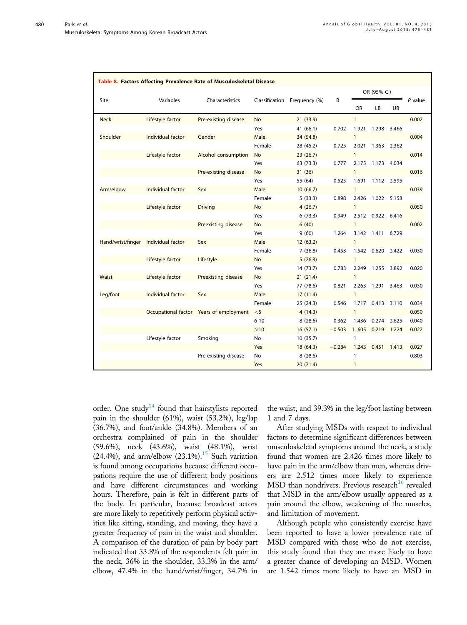<span id="page-5-0"></span>

| Table 8. Factors Affecting Prevalence Rate of Musculoskeletal Disease |                   |                                         |           |                              |          |              |                   |             |           |
|-----------------------------------------------------------------------|-------------------|-----------------------------------------|-----------|------------------------------|----------|--------------|-------------------|-------------|-----------|
|                                                                       |                   |                                         |           |                              |          |              | OR (95% CI)       |             |           |
| Site                                                                  | Variables         | Characteristics                         |           | Classification Frequency (%) | B        | OR.          | LB.               | UB          | $P$ value |
| <b>Neck</b>                                                           | Lifestyle factor  | Pre-existing disease                    | <b>No</b> | 21(33.9)                     |          | $\mathbf{1}$ |                   |             | 0.002     |
|                                                                       |                   |                                         | Yes       | 41 (66.1)                    | 0.702    | 1.921        | 1.298             | 3.466       |           |
| Shoulder                                                              | Individual factor | Gender                                  | Male      | 34 (54.8)                    |          | $\mathbf{1}$ |                   |             | 0.004     |
|                                                                       |                   |                                         | Female    | 28 (45.2)                    | 0.725    | 2.021        |                   | 1.363 2.362 |           |
|                                                                       | Lifestyle factor  | Alcohol consumption                     | No        | 23(26.7)                     |          | $\mathbf{1}$ |                   |             | 0.014     |
|                                                                       |                   |                                         | Yes       | 63 (73.3)                    | 0.777    | 2.175        | 1.173 4.034       |             |           |
|                                                                       |                   | Pre-existing disease                    | <b>No</b> | 31(36)                       |          | $\mathbf{1}$ |                   |             | 0.016     |
|                                                                       |                   |                                         | Yes       | 55 (64)                      | 0.525    | 1.691        |                   | 1.112 2.595 |           |
| Arm/elbow                                                             | Individual factor | Sex                                     | Male      | 10(66.7)                     |          | $\mathbf{1}$ |                   |             | 0.039     |
|                                                                       |                   |                                         | Female    | 5(33.3)                      | 0.898    | 2.426        | 1.022 5.158       |             |           |
|                                                                       | Lifestyle factor  | <b>Driving</b>                          | <b>No</b> | 4(26.7)                      |          | $\mathbf{1}$ |                   |             | 0.050     |
|                                                                       |                   |                                         | Yes       | 6(73.3)                      | 0.949    |              | 2.512 0.922 6.416 |             |           |
|                                                                       |                   | Preexisting disease                     | <b>No</b> | 6(40)                        |          | $\mathbf{1}$ |                   |             | 0.002     |
|                                                                       |                   |                                         | Yes       | 9(60)                        | 1.264    | 3.142        | 1.411 6.729       |             |           |
| Hand/wrist/finger                                                     | Individual factor | Sex                                     | Male      | 12(63.2)                     |          | $\mathbf{1}$ |                   |             |           |
|                                                                       |                   |                                         | Female    | 7(36.8)                      | 0.453    |              | 1.542 0.620       | 2.422       | 0.030     |
|                                                                       | Lifestyle factor  | Lifestyle                               | <b>No</b> | 5(26.3)                      |          | $\mathbf{1}$ |                   |             |           |
|                                                                       |                   |                                         | Yes       | 14 (73.7)                    | 0.783    | 2.249        | 1.255             | 3.892       | 0.020     |
| <b>Waist</b>                                                          | Lifestyle factor  | Preexisting disease                     | <b>No</b> | 21(21.4)                     |          | $\mathbf{1}$ |                   |             |           |
|                                                                       |                   |                                         | Yes       | 77 (78.6)                    | 0.821    | 2.263        | 1.291             | 3.463       | 0.030     |
| Leg/foot                                                              | Individual factor | Sex                                     | Male      | 17(11.4)                     |          | $\mathbf{1}$ |                   |             |           |
|                                                                       |                   |                                         | Female    | 25 (24.3)                    | 0.546    | 1.717        | 0.413             | 3.110       | 0.034     |
|                                                                       |                   | Occupational factor Years of employment | $<$ 5     | 4(14.3)                      |          | $\mathbf{1}$ |                   |             | 0.050     |
|                                                                       |                   |                                         | $6 - 10$  | 8(28.6)                      | 0.362    | 1.436        | 0.274             | 2.625       | 0.040     |
|                                                                       |                   |                                         | >10       | 16(57.1)                     | $-0.503$ | 1.605        | 0.219             | 1.224       | 0.022     |
|                                                                       | Lifestyle factor  | Smoking                                 | No        | 10(35.7)                     |          | 1            |                   |             |           |
|                                                                       |                   |                                         | Yes       | 18 (64.3)                    | $-0.284$ | 1.243        | 0.451             | 1.413       | 0.027     |
|                                                                       |                   | Pre-existing disease                    | No        | 8(28.6)                      |          | 1            |                   |             | 0.803     |
|                                                                       |                   |                                         | Yes       | 20(71.4)                     |          | 1            |                   |             |           |

order. One study<sup>[14](#page-6-0)</sup> found that hairstylists reported pain in the shoulder (61%), waist (53.2%), leg/lap (36.7%), and foot/ankle (34.8%). Members of an orchestra complained of pain in the shoulder (59.6%), neck (43.6%), waist (48.1%), wrist  $(24.4\%)$ , and arm/elbow  $(23.1\%)$ .<sup>[15](#page-6-0)</sup> Such variation is found among occupations because different occupations require the use of different body positions and have different circumstances and working hours. Therefore, pain is felt in different parts of the body. In particular, because broadcast actors are more likely to repetitively perform physical activities like sitting, standing, and moving, they have a greater frequency of pain in the waist and shoulder. A comparison of the duration of pain by body part indicated that 33.8% of the respondents felt pain in the neck, 36% in the shoulder, 33.3% in the arm/ elbow, 47.4% in the hand/wrist/finger, 34.7% in

the waist, and 39.3% in the leg/foot lasting between 1 and 7 days.

After studying MSDs with respect to individual factors to determine significant differences between musculoskeletal symptoms around the neck, a study found that women are 2.426 times more likely to have pain in the arm/elbow than men, whereas drivers are 2.512 times more likely to experience MSD than nondrivers. Previous research<sup>[16](#page-6-0)</sup> revealed that MSD in the arm/elbow usually appeared as a pain around the elbow, weakening of the muscles, and limitation of movement.

Although people who consistently exercise have been reported to have a lower prevalence rate of MSD compared with those who do not exercise, this study found that they are more likely to have a greater chance of developing an MSD. Women are 1.542 times more likely to have an MSD in